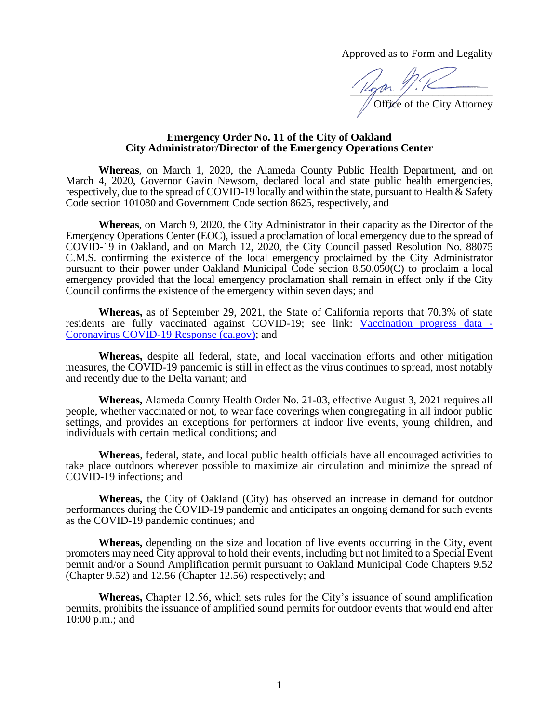Approved as to Form and Legality

\_\_\_\_\_\_\_\_\_\_\_\_\_\_\_\_\_\_\_\_\_\_\_\_\_\_ Office of the City Attorney

## **Emergency Order No. 11 of the City of Oakland City Administrator/Director of the Emergency Operations Center**

**Whereas**, on March 1, 2020, the Alameda County Public Health Department, and on March 4, 2020, Governor Gavin Newsom, declared local and state public health emergencies, respectively, due to the spread of COVID-19 locally and within the state, pursuant to Health & Safety Code section 101080 and Government Code section 8625, respectively, and

**Whereas**, on March 9, 2020, the City Administrator in their capacity as the Director of the Emergency Operations Center (EOC), issued a proclamation of local emergency due to the spread of COVID-19 in Oakland, and on March 12, 2020, the City Council passed Resolution No. 88075 C.M.S. confirming the existence of the local emergency proclaimed by the City Administrator pursuant to their power under Oakland Municipal Code section 8.50.050(C) to proclaim a local emergency provided that the local emergency proclamation shall remain in effect only if the City Council confirms the existence of the emergency within seven days; and

**Whereas,** as of September 29, 2021, the State of California reports that 70.3% of state residents are fully vaccinated against COVID-19; see link: [Vaccination progress data -](https://covid19.ca.gov/vaccination-progress-data/#overview) [Coronavirus COVID-19 Response \(ca.gov\);](https://covid19.ca.gov/vaccination-progress-data/#overview) and

**Whereas,** despite all federal, state, and local vaccination efforts and other mitigation measures, the COVID-19 pandemic is still in effect as the virus continues to spread, most notably and recently due to the Delta variant; and

**Whereas,** Alameda County Health Order No. 21-03, effective August 3, 2021 requires all people, whether vaccinated or not, to wear face coverings when congregating in all indoor public settings, and provides an exceptions for performers at indoor live events, young children, and individuals with certain medical conditions; and

**Whereas**, federal, state, and local public health officials have all encouraged activities to take place outdoors wherever possible to maximize air circulation and minimize the spread of COVID-19 infections; and

**Whereas,** the City of Oakland (City) has observed an increase in demand for outdoor performances during the COVID-19 pandemic and anticipates an ongoing demand for such events as the COVID-19 pandemic continues; and

**Whereas,** depending on the size and location of live events occurring in the City, event promoters may need City approval to hold their events, including but not limited to a Special Event permit and/or a Sound Amplification permit pursuant to Oakland Municipal Code Chapters 9.52 (Chapter 9.52) and 12.56 (Chapter 12.56) respectively; and

**Whereas,** Chapter 12.56, which sets rules for the City's issuance of sound amplification permits, prohibits the issuance of amplified sound permits for outdoor events that would end after 10:00 p.m.; and